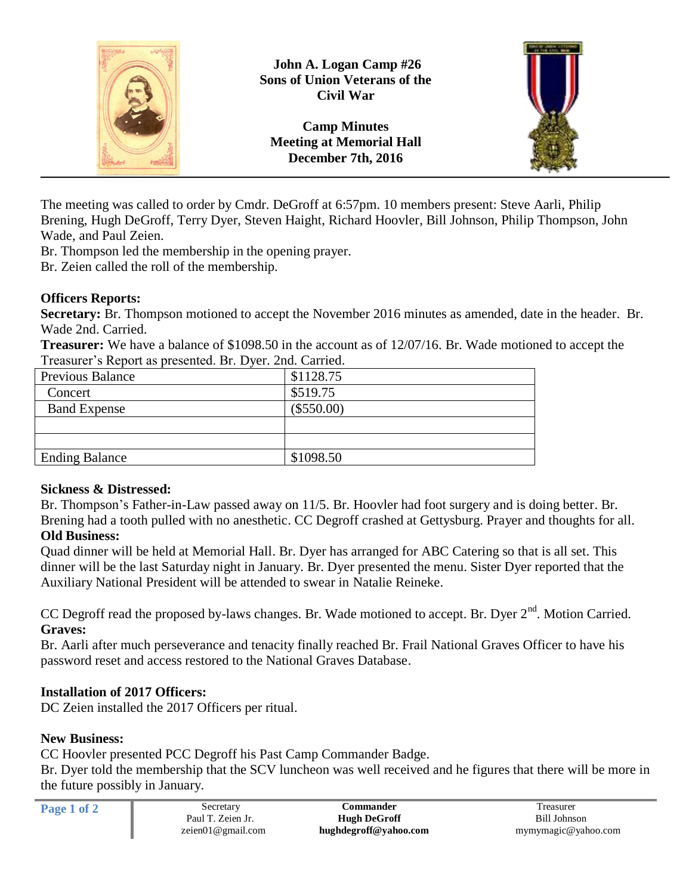

The meeting was called to order by Cmdr. DeGroff at 6:57pm. 10 members present: Steve Aarli, Philip Brening, Hugh DeGroff, Terry Dyer, Steven Haight, Richard Hoovler, Bill Johnson, Philip Thompson, John Wade, and Paul Zeien.

Br. Thompson led the membership in the opening prayer.

Br. Zeien called the roll of the membership.

# **Officers Reports:**

**Secretary:** Br. Thompson motioned to accept the November 2016 minutes as amended, date in the header. Br. Wade 2nd. Carried.

**Treasurer:** We have a balance of \$1098.50 in the account as of 12/07/16. Br. Wade motioned to accept the Treasurer's Report as presented. Br. Dyer. 2nd. Carried.

| <b>Previous Balance</b> | \$1128.75    |  |
|-------------------------|--------------|--|
| Concert                 | \$519.75     |  |
| <b>Band Expense</b>     | $(\$550.00)$ |  |
|                         |              |  |
|                         |              |  |
| <b>Ending Balance</b>   | \$1098.50    |  |

### **Sickness & Distressed:**

Br. Thompson's Father-in-Law passed away on 11/5. Br. Hoovler had foot surgery and is doing better. Br. Brening had a tooth pulled with no anesthetic. CC Degroff crashed at Gettysburg. Prayer and thoughts for all. **Old Business:**

Quad dinner will be held at Memorial Hall. Br. Dyer has arranged for ABC Catering so that is all set. This dinner will be the last Saturday night in January. Br. Dyer presented the menu. Sister Dyer reported that the Auxiliary National President will be attended to swear in Natalie Reineke.

CC Degroff read the proposed by-laws changes. Br. Wade motioned to accept. Br. Dyer  $2<sup>nd</sup>$ . Motion Carried. **Graves:**

Br. Aarli after much perseverance and tenacity finally reached Br. Frail National Graves Officer to have his password reset and access restored to the National Graves Database.

# **Installation of 2017 Officers:**

DC Zeien installed the 2017 Officers per ritual.

### **New Business:**

CC Hoovler presented PCC Degroff his Past Camp Commander Badge.

Br. Dyer told the membership that the SCV luncheon was well received and he figures that there will be more in the future possibly in January.

| Page 1 of 2 | Secretary         | <b>Commander</b>      | reasurer            |
|-------------|-------------------|-----------------------|---------------------|
|             | Paul T. Zeien Jr. | <b>Hugh DeGroff</b>   | Bill Johnson        |
|             | zeien01@gmail.com | hughdegroff@yahoo.com | mymymagic@yahoo.com |